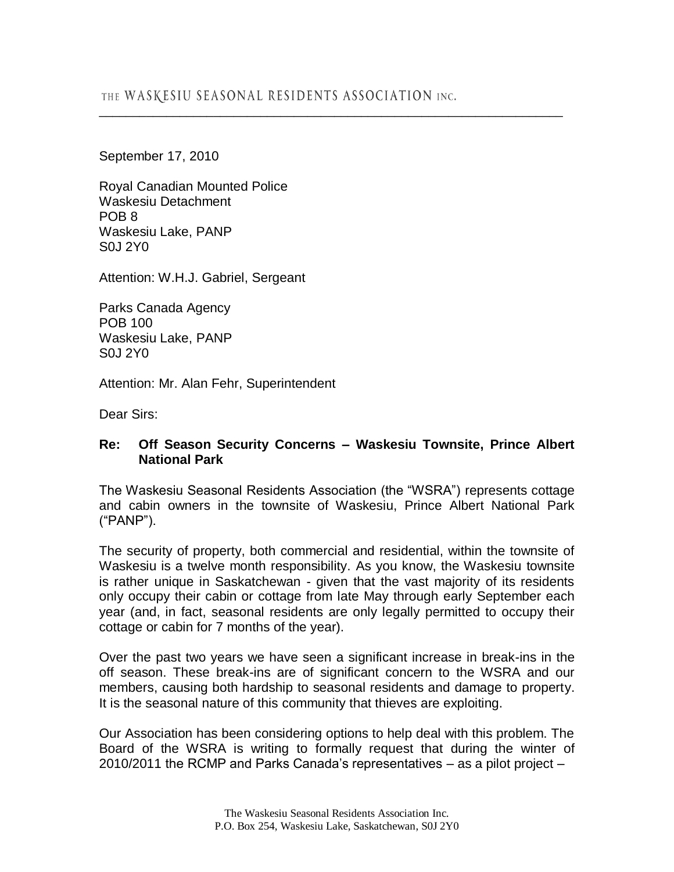\_\_\_\_\_\_\_\_\_\_\_\_\_\_\_\_\_\_\_\_\_\_\_\_\_\_\_\_\_\_\_\_\_\_\_\_\_\_\_\_\_\_\_\_\_\_\_\_\_\_\_\_\_\_\_\_\_\_\_\_\_\_\_\_\_\_\_\_\_

September 17, 2010

Royal Canadian Mounted Police Waskesiu Detachment POB 8 Waskesiu Lake, PANP S0J 2Y0

Attention: W.H.J. Gabriel, Sergeant

Parks Canada Agency POB 100 Waskesiu Lake, PANP S0J 2Y0

Attention: Mr. Alan Fehr, Superintendent

Dear Sirs:

## **Re: Off Season Security Concerns – Waskesiu Townsite, Prince Albert National Park**

The Waskesiu Seasonal Residents Association (the "WSRA") represents cottage and cabin owners in the townsite of Waskesiu, Prince Albert National Park ("PANP").

The security of property, both commercial and residential, within the townsite of Waskesiu is a twelve month responsibility. As you know, the Waskesiu townsite is rather unique in Saskatchewan - given that the vast majority of its residents only occupy their cabin or cottage from late May through early September each year (and, in fact, seasonal residents are only legally permitted to occupy their cottage or cabin for 7 months of the year).

Over the past two years we have seen a significant increase in break-ins in the off season. These break-ins are of significant concern to the WSRA and our members, causing both hardship to seasonal residents and damage to property. It is the seasonal nature of this community that thieves are exploiting.

Our Association has been considering options to help deal with this problem. The Board of the WSRA is writing to formally request that during the winter of 2010/2011 the RCMP and Parks Canada's representatives – as a pilot project –